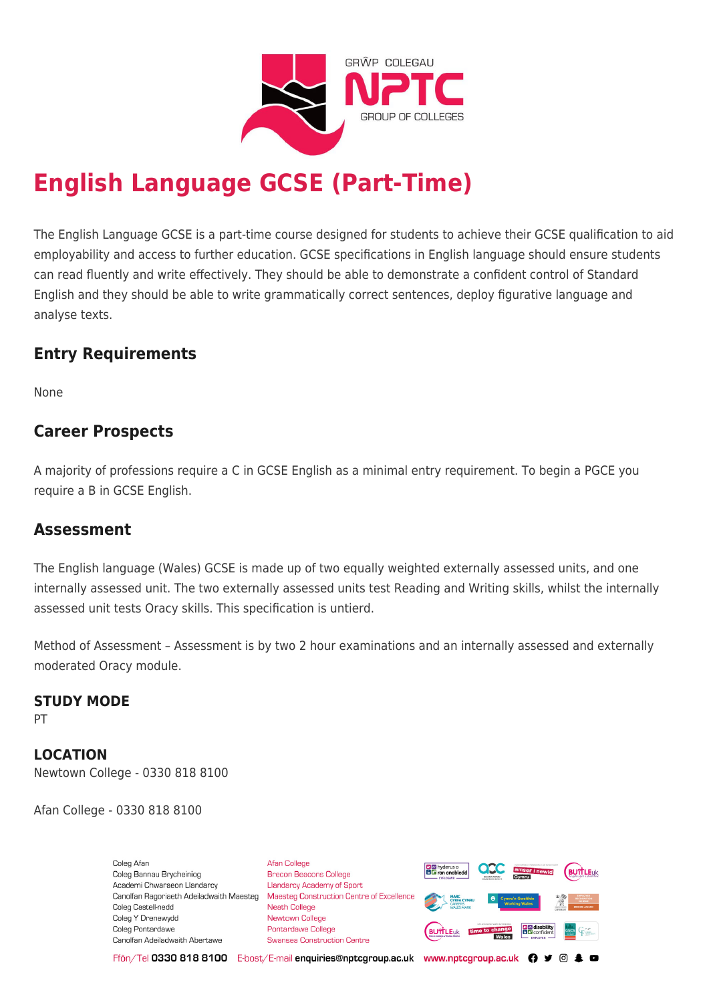

# **English Language GCSE (Part-Time)**

The English Language GCSE is a part-time course designed for students to achieve their GCSE qualification to aid employability and access to further education. GCSE specifications in English language should ensure students can read fluently and write effectively. They should be able to demonstrate a confident control of Standard English and they should be able to write grammatically correct sentences, deploy figurative language and analyse texts.

# **Entry Requirements**

None

# **Career Prospects**

A majority of professions require a C in GCSE English as a minimal entry requirement. To begin a PGCE you require a B in GCSE English.

## **Assessment**

The English language (Wales) GCSE is made up of two equally weighted externally assessed units, and one internally assessed unit. The two externally assessed units test Reading and Writing skills, whilst the internally assessed unit tests Oracy skills. This specification is untierd.

Method of Assessment – Assessment is by two 2 hour examinations and an internally assessed and externally moderated Oracy module.

### **STUDY MODE**

PT

**LOCATION** Newtown College - 0330 818 8100

Afan College - 0330 818 8100

Coleg Afar Coleg Bannau Brycheiniog Academi Chwaraeon Llandarcy Canolfan Ragoriaeth Adeiladwaith Maesteg Coleg Castell-nedd Coleg Y Drenewydd Coleg Pontardawe Canolfan Adeiladwaith Abertawe

**Afan College** Brecon Beacons College **Llandarcy Academy of Sport** Maesteg Construction Centre of Excellence Neath College Newtown College **Pontardawe College Swansea Construction Centre** 



Ffôn/Tel 0330 818 8100 E-bost/E-mail enquiries@nptcgroup.ac.uk www.nptcgroup.ac.uk ? • © \$